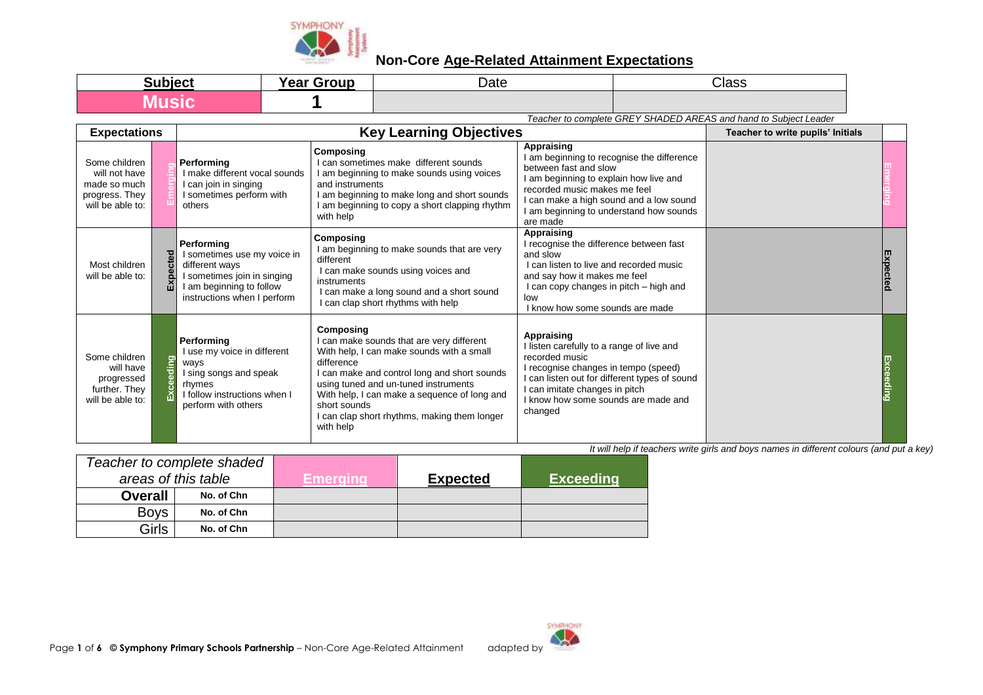

| <b>SUNIAC</b> | - -<br><b>Year Grour</b><br>Ga. | Date | Class |
|---------------|---------------------------------|------|-------|
|               |                                 |      |       |

*Teacher to complete GREY SHADED AREAS and hand to Subject Leader*

| <b>Expectations</b>                                                                  |              |                                                                                                                                                       | <b>Key Learning Objectives</b>                                                                                                                                                                                                                                                                                                         |                                                                                                                                                                                                                                                         | Teacher to write pupils' Initials |          |
|--------------------------------------------------------------------------------------|--------------|-------------------------------------------------------------------------------------------------------------------------------------------------------|----------------------------------------------------------------------------------------------------------------------------------------------------------------------------------------------------------------------------------------------------------------------------------------------------------------------------------------|---------------------------------------------------------------------------------------------------------------------------------------------------------------------------------------------------------------------------------------------------------|-----------------------------------|----------|
| Some children<br>will not have<br>made so much<br>progress. They<br>will be able to: |              | Performing<br>I make different vocal sounds<br>I can join in singing<br>I sometimes perform with<br>others                                            | <b>Composing</b><br>I can sometimes make different sounds<br>I am beginning to make sounds using voices<br>and instruments<br>I am beginning to make long and short sounds<br>I am beginning to copy a short clapping rhythm<br>with help                                                                                              | Appraising<br>am beginning to recognise the difference<br>between fast and slow<br>I am beginning to explain how live and<br>recorded music makes me feel<br>can make a high sound and a low sound<br>am beginning to understand how sounds<br>are made |                                   |          |
| Most children<br>will be able to:                                                    | Expected     | Performing<br>I sometimes use my voice in<br>different ways<br>I sometimes join in singing<br>I am beginning to follow<br>instructions when I perform | Composing<br>I am beginning to make sounds that are very<br>different<br>I can make sounds using voices and<br>instruments<br>I can make a long sound and a short sound<br>I can clap short rhythms with help                                                                                                                          | Appraising<br>I recognise the difference between fast<br>and slow<br>can listen to live and recorded music<br>and say how it makes me feel<br>I can copy changes in pitch – high and<br>low<br>I know how some sounds are made                          |                                   | Expected |
| Some children<br>will have<br>progressed<br>further. They<br>will be able to:        | ceeding<br>ň | Performing<br>I use my voice in different<br>ways<br>I sing songs and speak<br>rhymes<br>I follow instructions when I<br>perform with others          | Composing<br>I can make sounds that are very different<br>With help, I can make sounds with a small<br>difference<br>I can make and control long and short sounds<br>using tuned and un-tuned instruments<br>With help, I can make a sequence of long and<br>short sounds<br>I can clap short rhythms, making them longer<br>with help | Appraising<br>llisten carefully to a range of live and<br>recorded music<br>recognise changes in tempo (speed)<br>can listen out for different types of sound<br>can imitate changes in pitch<br>I know how some sounds are made and<br>changed         |                                   |          |

|                     | Teacher to complete shaded |          |                 |                  |
|---------------------|----------------------------|----------|-----------------|------------------|
| areas of this table |                            | Emeraina | <b>Expected</b> | <b>Exceeding</b> |
| <b>Overall</b>      | No. of Chn                 |          |                 |                  |
| <b>Boys</b>         | No. of Chn                 |          |                 |                  |
| Girls               | No. of Chn                 |          |                 |                  |

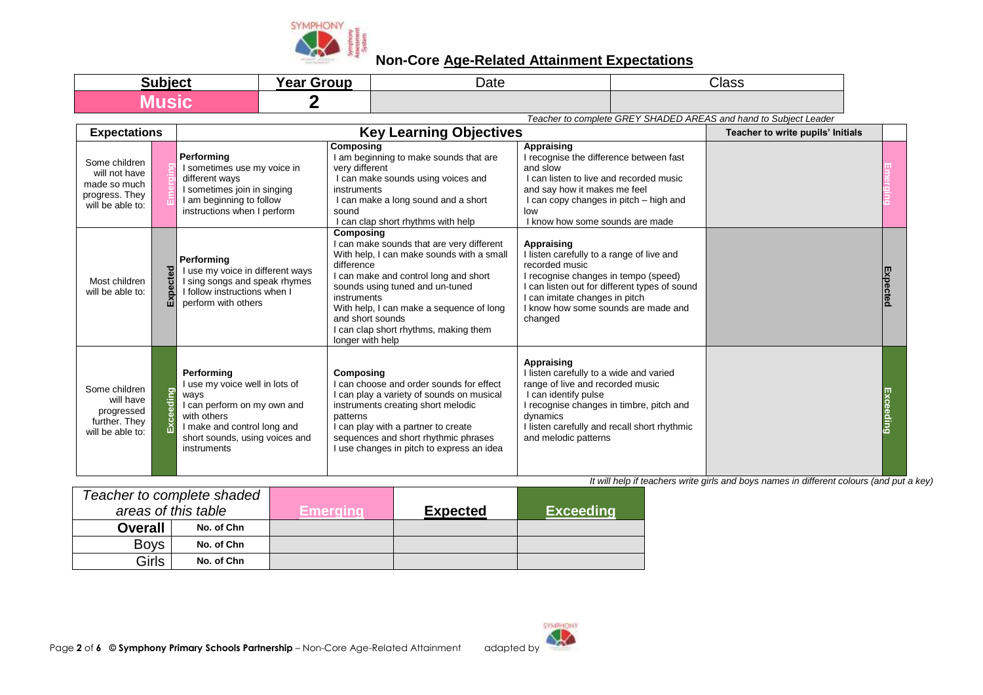

| Subjec | $\blacksquare$<br><b>Year Group</b> | $\Delta$ ate | Class |
|--------|-------------------------------------|--------------|-------|
|        |                                     |              |       |

*Teacher to complete GREY SHADED AREAS and hand to Subject Leader*

| <b>Expectations</b>                                                                  |           |                                                                                                                                                                                    | <b>Key Learning Objectives</b>                                                                                                                                                                                                                                                                                                            |                                                                                                                                                                                                                                                    | Teacher to write pupils' Initials |           |
|--------------------------------------------------------------------------------------|-----------|------------------------------------------------------------------------------------------------------------------------------------------------------------------------------------|-------------------------------------------------------------------------------------------------------------------------------------------------------------------------------------------------------------------------------------------------------------------------------------------------------------------------------------------|----------------------------------------------------------------------------------------------------------------------------------------------------------------------------------------------------------------------------------------------------|-----------------------------------|-----------|
| Some children<br>will not have<br>made so much<br>progress. They<br>will be able to: |           | Performing<br>I sometimes use my voice in<br>different ways<br>I sometimes join in singing<br>I am beginning to follow<br>instructions when I perform                              | Composing<br>I am beginning to make sounds that are<br>very different<br>I can make sounds using voices and<br>instruments<br>I can make a long sound and a short<br>sound<br>I can clap short rhythms with help                                                                                                                          | <b>Appraising</b><br>I recognise the difference between fast<br>and slow<br>I can listen to live and recorded music<br>and say how it makes me feel<br>I can copy changes in pitch - high and<br>low<br>I know how some sounds are made            |                                   |           |
| Most children<br>will be able to:                                                    | cted<br>囚 | Performing<br>I use my voice in different ways<br>I sing songs and speak rhymes<br>I follow instructions when I<br>perform with others                                             | Composing<br>I can make sounds that are very different<br>With help, I can make sounds with a small<br>difference<br>I can make and control long and short<br>sounds using tuned and un-tuned<br>instruments<br>With help, I can make a sequence of long<br>and short sounds<br>I can clap short rhythms, making them<br>longer with help | Appraising<br>I listen carefully to a range of live and<br>recorded music<br>I recognise changes in tempo (speed)<br>can listen out for different types of sound<br>can imitate changes in pitch<br>I know how some sounds are made and<br>changed |                                   | Expected  |
| Some children<br>will have<br>progressed<br>further. They<br>will be able to:        | eeding    | Performing<br>I use my voice well in lots of<br>ways<br>I can perform on my own and<br>with others<br>I make and control long and<br>short sounds, using voices and<br>instruments | <b>Composing</b><br>I can choose and order sounds for effect<br>I can play a variety of sounds on musical<br>instruments creating short melodic<br>patterns<br>I can play with a partner to create<br>sequences and short rhythmic phrases<br>I use changes in pitch to express an idea                                                   | Appraising<br>I listen carefully to a wide and varied<br>range of live and recorded music<br>I can identify pulse<br>recognise changes in timbre, pitch and<br>dynamics<br>I listen carefully and recall short rhythmic<br>and melodic patterns    |                                   | Exceeding |

| Teacher to complete shaded |            |           |                 |                  |
|----------------------------|------------|-----------|-----------------|------------------|
| areas of this table        |            | Emeraına. | <b>Expected</b> | <b>Exceeding</b> |
| <b>Overall</b>             | No. of Chn |           |                 |                  |
| <b>Boys</b>                | No. of Chn |           |                 |                  |
| Girls                      | No. of Chn |           |                 |                  |

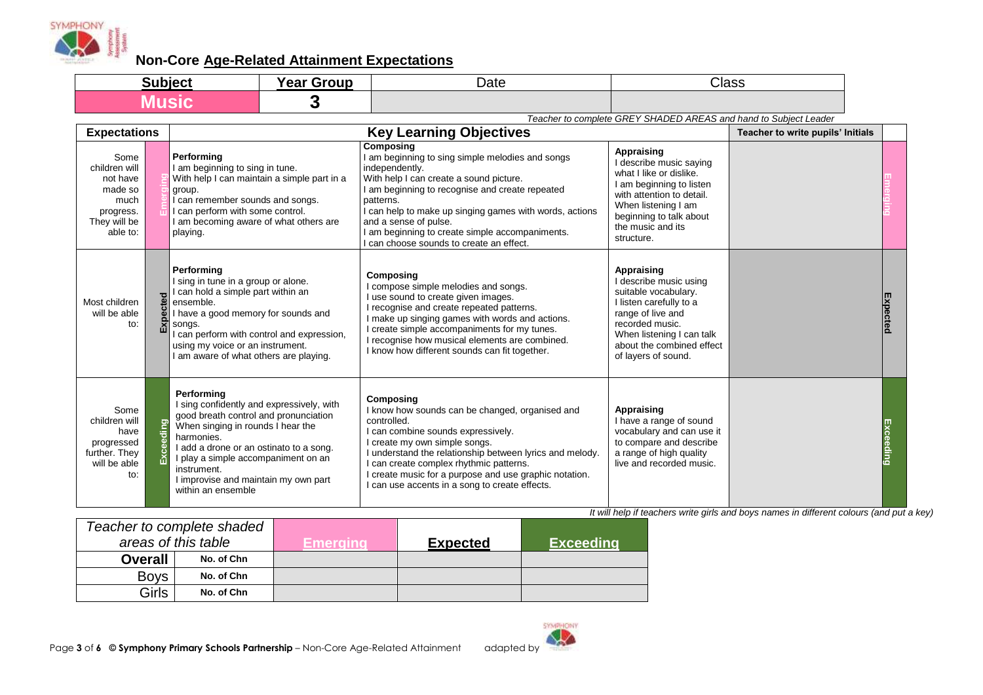

| Subject | <b>Year Group</b><br>caı | Date | Class |
|---------|--------------------------|------|-------|
|         |                          |      |       |

*Teacher to complete GREY SHADED AREAS and hand to Subject Leader*

| <b>Expectations</b>                                                                           |      |                                                                                                                                                                                                                                                                                                                    | <b>Key Learning Objectives</b>                                                                                                                                                                                                                                                                                                                                                |                                                                                                                                                                                                                  | Teacher to write pupils' Initials |                 |
|-----------------------------------------------------------------------------------------------|------|--------------------------------------------------------------------------------------------------------------------------------------------------------------------------------------------------------------------------------------------------------------------------------------------------------------------|-------------------------------------------------------------------------------------------------------------------------------------------------------------------------------------------------------------------------------------------------------------------------------------------------------------------------------------------------------------------------------|------------------------------------------------------------------------------------------------------------------------------------------------------------------------------------------------------------------|-----------------------------------|-----------------|
| Some<br>children will<br>not have<br>made so<br>much<br>progress.<br>They will be<br>able to: |      | Performing<br>I am beginning to sing in tune.<br>With help I can maintain a simple part in a<br>group.<br>can remember sounds and songs.<br>I can perform with some control.<br>I am becoming aware of what others are<br>playing.                                                                                 | Composing<br>I am beginning to sing simple melodies and songs<br>independently.<br>With help I can create a sound picture.<br>I am beginning to recognise and create repeated<br>patterns.<br>I can help to make up singing games with words, actions<br>and a sense of pulse.<br>I am beginning to create simple accompaniments.<br>I can choose sounds to create an effect. | Appraising<br>I describe music saying<br>what I like or dislike.<br>I am beginning to listen<br>with attention to detail.<br>When listening I am<br>beginning to talk about<br>the music and its<br>structure.   |                                   |                 |
| Most children<br>will be able<br>to:                                                          | ctec | Performing<br>I sing in tune in a group or alone.<br>I can hold a simple part within an<br>ensemble.<br>I have a good memory for sounds and<br>songs.<br>can perform with control and expression,<br>using my voice or an instrument.<br>I am aware of what others are playing.                                    | Composing<br>compose simple melodies and songs.<br>use sound to create given images.<br>recognise and create repeated patterns.<br>make up singing games with words and actions.<br>create simple accompaniments for my tunes.<br>recognise how musical elements are combined.<br>I know how different sounds can fit together.                                               | Appraising<br>I describe music using<br>suitable vocabulary.<br>I listen carefully to a<br>range of live and<br>recorded music.<br>When listening I can talk<br>about the combined effect<br>of layers of sound. |                                   | <b>Expected</b> |
| Some<br>children will<br>have<br>progressed<br>further. They<br>will be able<br>to:           | ding | Performing<br>I sing confidently and expressively, with<br>good breath control and pronunciation<br>When singing in rounds I hear the<br>harmonies.<br>I add a drone or an ostinato to a song.<br>I play a simple accompaniment on an<br>instrument.<br>I improvise and maintain my own part<br>within an ensemble | Composing<br>I know how sounds can be changed, organised and<br>controlled.<br>can combine sounds expressively.<br>create my own simple songs.<br>I understand the relationship between lyrics and melody.<br>can create complex rhythmic patterns.<br>create music for a purpose and use graphic notation.<br>can use accents in a song to create effects.                   | Appraising<br>I have a range of sound<br>vocabulary and can use it<br>to compare and describe<br>a range of high quality<br>live and recorded music.                                                             |                                   | Exceeding       |

| Teacher to complete shaded |            |           |                 |                  |
|----------------------------|------------|-----------|-----------------|------------------|
| areas of this table        |            | Emeraina. | <b>Expected</b> | <b>Exceeding</b> |
| <b>Overall</b>             | No. of Chn |           |                 |                  |
| <b>Boys</b>                | No. of Chn |           |                 |                  |
| Girls                      | No. of Chn |           |                 |                  |

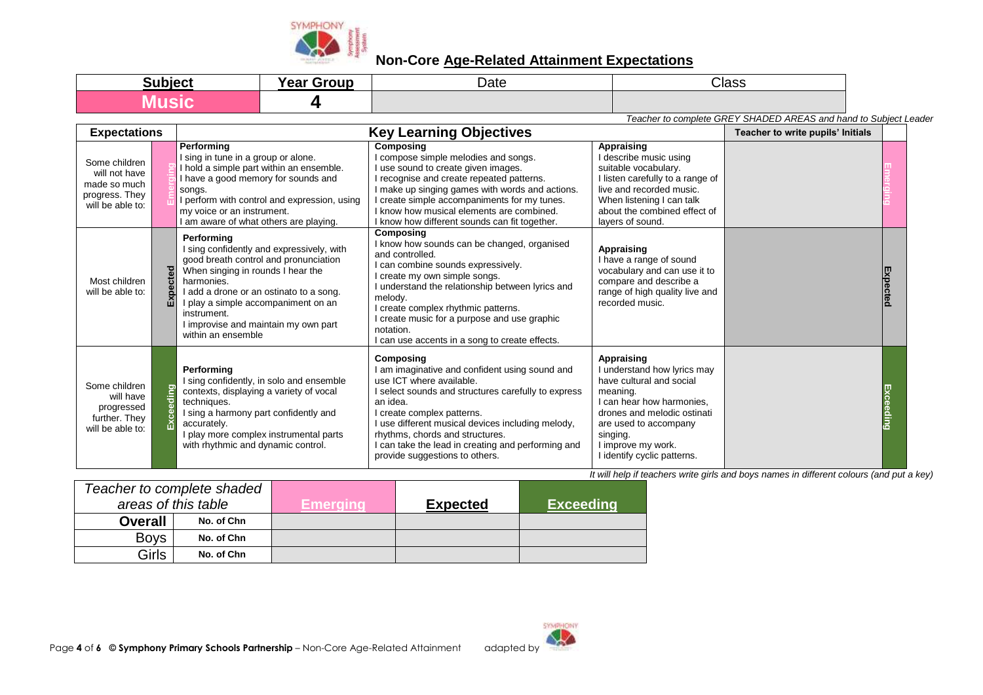

| Subject | <b>Voor</b><br>Groun<br>' ca. | Date | Class |
|---------|-------------------------------|------|-------|
|         |                               |      |       |

*Teacher to complete GREY SHADED AREAS and hand to Subject Leader*

| <b>Expectations</b>                                                                  |           | <b>Key Learning Objectives</b>                                                                                                                                                                                                                                                                                     |                                                                                                                                                                                                                                                                                                                                                                          |                                                                                                                                                                                                                                         | Teacher to write pupils' Initials |           |
|--------------------------------------------------------------------------------------|-----------|--------------------------------------------------------------------------------------------------------------------------------------------------------------------------------------------------------------------------------------------------------------------------------------------------------------------|--------------------------------------------------------------------------------------------------------------------------------------------------------------------------------------------------------------------------------------------------------------------------------------------------------------------------------------------------------------------------|-----------------------------------------------------------------------------------------------------------------------------------------------------------------------------------------------------------------------------------------|-----------------------------------|-----------|
| Some children<br>will not have<br>made so much<br>progress. They<br>will be able to: |           | Performing<br>I sing in tune in a group or alone.<br>I hold a simple part within an ensemble.<br>I have a good memory for sounds and<br>songs.<br>I perform with control and expression, using<br>my voice or an instrument.<br>I am aware of what others are playing.                                             | Composing<br>I compose simple melodies and songs.<br>I use sound to create given images.<br>I recognise and create repeated patterns.<br>I make up singing games with words and actions.<br>I create simple accompaniments for my tunes.<br>I know how musical elements are combined.<br>I know how different sounds can fit together.                                   | Appraising<br>l describe music using<br>suitable vocabulary.<br>I listen carefully to a range of<br>live and recorded music.<br>When listening I can talk<br>about the combined effect of<br>layers of sound.                           |                                   |           |
| Most children<br>will be able to:                                                    | Expected  | Performina<br>I sing confidently and expressively, with<br>good breath control and pronunciation<br>When singing in rounds I hear the<br>harmonies.<br>I add a drone or an ostinato to a song.<br>I play a simple accompaniment on an<br>instrument.<br>I improvise and maintain my own part<br>within an ensemble | Composing<br>I know how sounds can be changed, organised<br>and controlled.<br>I can combine sounds expressively.<br>I create my own simple songs.<br>I understand the relationship between lyrics and<br>melody.<br>I create complex rhythmic patterns.<br>I create music for a purpose and use graphic<br>notation.<br>I can use accents in a song to create effects.  | Appraising<br>I have a range of sound<br>vocabulary and can use it to<br>compare and describe a<br>range of high quality live and<br>recorded music.                                                                                    |                                   | Expected  |
| Some children<br>will have<br>progressed<br>further. They<br>will be able to:        | Exceeding | Performing<br>I sing confidently, in solo and ensemble<br>contexts, displaying a variety of vocal<br>techniques.<br>I sing a harmony part confidently and<br>accurately.<br>I play more complex instrumental parts<br>with rhythmic and dynamic control.                                                           | Composing<br>I am imaginative and confident using sound and<br>use ICT where available.<br>I select sounds and structures carefully to express<br>an idea.<br>I create complex patterns.<br>I use different musical devices including melody,<br>rhythms, chords and structures.<br>I can take the lead in creating and performing and<br>provide suggestions to others. | Appraising<br>I understand how lyrics may<br>have cultural and social<br>meaning.<br>I can hear how harmonies,<br>drones and melodic ostinati<br>are used to accompany<br>singing.<br>I improve my work.<br>I identify cyclic patterns. |                                   | Exceeding |

|                | Teacher to complete shaded |          |                 |                  |
|----------------|----------------------------|----------|-----------------|------------------|
|                | areas of this table        | Emeraina | <b>Expected</b> | <b>Exceeding</b> |
| <b>Overall</b> | No. of Chn                 |          |                 |                  |
| <b>Boys</b>    | No. of Chn                 |          |                 |                  |
| Girls          | No. of Chn                 |          |                 |                  |

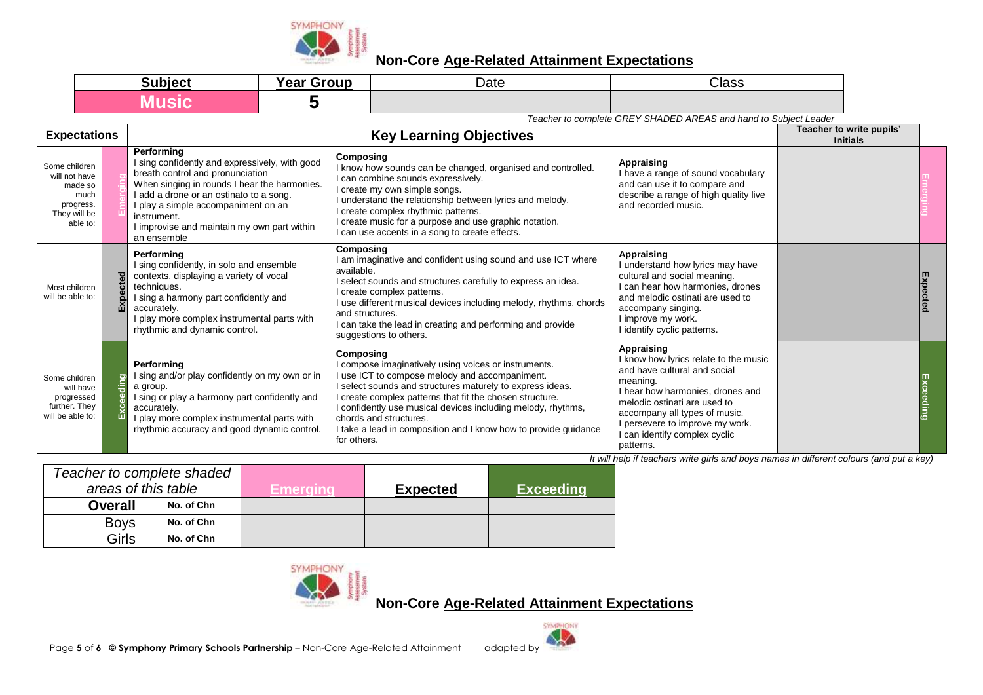

| <b>Subject</b><br>Jun | <b>Year Group</b> | Date | Class |
|-----------------------|-------------------|------|-------|
|                       |                   |      |       |

*Teacher to complete GREY SHADED AREAS and hand to Subject Leader*

| <b>Expectations</b>                                                                        |       |                                                                                                                                                                                                                                                                                                               | Teacher to write pupils'<br><b>Initials</b>                                                                                                                                                                                                                                                                                                                                                                              |                                                                                                                                                                                                                                                                                 |  |  |
|--------------------------------------------------------------------------------------------|-------|---------------------------------------------------------------------------------------------------------------------------------------------------------------------------------------------------------------------------------------------------------------------------------------------------------------|--------------------------------------------------------------------------------------------------------------------------------------------------------------------------------------------------------------------------------------------------------------------------------------------------------------------------------------------------------------------------------------------------------------------------|---------------------------------------------------------------------------------------------------------------------------------------------------------------------------------------------------------------------------------------------------------------------------------|--|--|
| Some children<br>will not have<br>made so<br>much<br>progress.<br>They will be<br>able to: |       | Performing<br>I sing confidently and expressively, with good<br>breath control and pronunciation<br>When singing in rounds I hear the harmonies.<br>add a drone or an ostinato to a song.<br>I play a simple accompaniment on an<br>instrument.<br>I improvise and maintain my own part within<br>an ensemble | Composing<br>I know how sounds can be changed, organised and controlled.<br>I can combine sounds expressively.<br>I create my own simple songs.<br>understand the relationship between lyrics and melody.<br>I create complex rhythmic patterns.<br>I create music for a purpose and use graphic notation.<br>I can use accents in a song to create effects.                                                             | Appraising<br>I have a range of sound vocabulary<br>and can use it to compare and<br>describe a range of high quality live<br>and recorded music.                                                                                                                               |  |  |
| Most children<br>will be able to:                                                          | ă     | Performing<br>I sing confidently, in solo and ensemble<br>contexts, displaying a variety of vocal<br>techniques.<br>I sing a harmony part confidently and<br>accurately.<br>I play more complex instrumental parts with<br>rhythmic and dynamic control.                                                      | Composing<br>I am imaginative and confident using sound and use ICT where<br>available.<br>I select sounds and structures carefully to express an idea.<br>I create complex patterns.<br>use different musical devices including melody, rhythms, chords<br>and structures.<br>I can take the lead in creating and performing and provide<br>suggestions to others.                                                      | Appraising<br>understand how lyrics may have<br>cultural and social meaning.<br>can hear how harmonies, drones<br>and melodic ostinati are used to<br>accompany singing.<br>I improve my work.<br>identify cyclic patterns.                                                     |  |  |
| Some children<br>will have<br>progressed<br>further. They<br>will be able to:              | leqib | Performina<br>I sing and/or play confidently on my own or in<br>a group.<br>I sing or play a harmony part confidently and<br>accurately.<br>I play more complex instrumental parts with<br>rhythmic accuracy and good dynamic control.                                                                        | Composing<br>I compose imaginatively using voices or instruments.<br>I use ICT to compose melody and accompaniment.<br>I select sounds and structures maturely to express ideas.<br>I create complex patterns that fit the chosen structure.<br>I confidently use musical devices including melody, rhythms,<br>chords and structures.<br>I take a lead in composition and I know how to provide guidance<br>for others. | Appraising<br>know how lyrics relate to the music<br>and have cultural and social<br>meaning.<br>I hear how harmonies, drones and<br>melodic ostinati are used to<br>accompany all types of music.<br>persevere to improve my work.<br>can identify complex cyclic<br>patterns. |  |  |

*It will help if teachers write girls and boys names in different colours (and put a key)*

| Teacher to complete shaded |            |          |                 |                  |
|----------------------------|------------|----------|-----------------|------------------|
| areas of this table        |            | /Emerama | <b>Expected</b> | <b>Exceeding</b> |
| <b>Overall</b>             | No. of Chn |          |                 |                  |
| <b>Boys</b>                | No. of Chn |          |                 |                  |
| Girls                      | No. of Chn |          |                 |                  |



**Non-Core Age-Related Attainment Expectations**